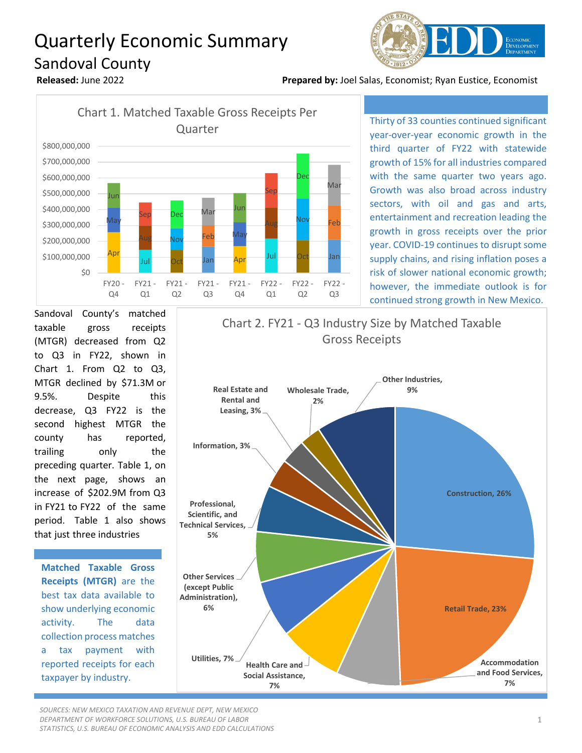## Quarterly Economic Summary Sandoval County



**Released:** June 2022 **Prepared by:** Joel Salas, Economist; Ryan Eustice, Economist



Thirty of 33 counties continued significant year-over-year economic growth in the third quarter of FY22 with statewide growth of 15% for all industries compared with the same quarter two years ago. Growth was also broad across industry sectors, with oil and gas and arts, entertainment and recreation leading the growth in gross receipts over the prior year. COVID-19 continues to disrupt some supply chains, and rising inflation poses a risk of slower national economic growth; however, the immediate outlook is for continued strong growth in New Mexico.

Sandoval County's matched taxable gross receipts (MTGR) decreased from Q2 to Q3 in FY22, shown in Chart 1. From Q2 to Q3, MTGR declined by \$71.3M or 9.5%. Despite this decrease, Q3 FY22 is the second highest MTGR the county has reported, trailing only the preceding quarter. Table 1, on the next page, shows an increase of \$202.9M from Q3 in FY21 to FY22 of the same period. Table 1 also shows that just three industries

**Matched Taxable Gross Receipts (MTGR)** are the best tax data available to show underlying economic activity. The data collection process matches a tax payment with reported receipts for each taxpayer by industry.



*SOURCES: NEW MEXICO TAXATION AND REVENUE DEPT, NEW MEXICO DEPARTMENT OF WORKFORCE SOLUTIONS, U.S. BUREAU OF LABOR STATISTICS, U.S. BUREAU OF ECONOMIC ANALYSIS AND EDD CALCULATIONS*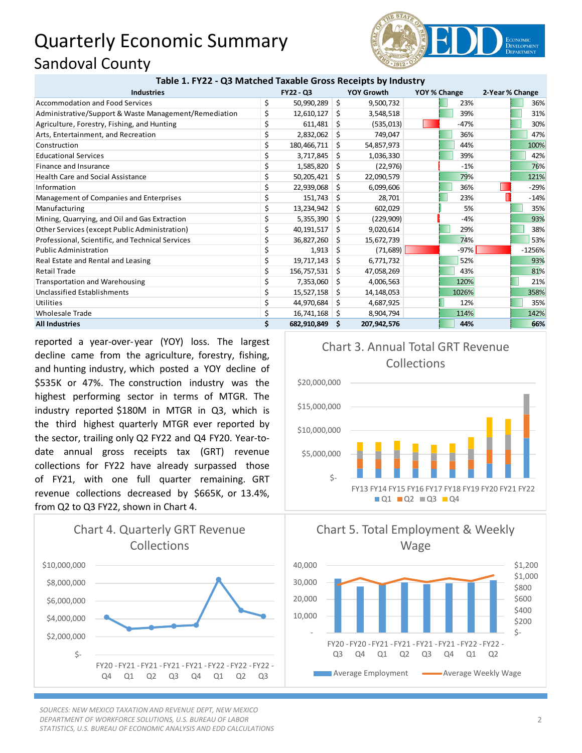## Quarterly Economic Summary Sandoval County



| Table 1. FY22 - Q3 Matched Taxable Gross Receipts by Industry |  |  |  |
|---------------------------------------------------------------|--|--|--|
|---------------------------------------------------------------|--|--|--|

| <b>Industries</b>                                     |    | FY22 - Q3     |      | YOY Growth  | YOY % Change | 2-Year % Change |          |
|-------------------------------------------------------|----|---------------|------|-------------|--------------|-----------------|----------|
| <b>Accommodation and Food Services</b>                | \$ | 50,990,289    | Ŝ.   | 9,500,732   | 23%          |                 | 36%      |
| Administrative/Support & Waste Management/Remediation | \$ | 12,610,127    | \$.  | 3,548,518   | 39%          |                 | 31%      |
| Agriculture, Forestry, Fishing, and Hunting           | \$ | 611,481       | Ŝ.   | (535, 013)  | $-47%$       |                 | 30%      |
| Arts, Entertainment, and Recreation                   | \$ | 2,832,062     | Ŝ.   | 749,047     | 36%          |                 | 47%      |
| Construction                                          | \$ | 180,466,711   | S.   | 54,857,973  | 44%          |                 | 100%     |
| <b>Educational Services</b>                           | \$ | 3,717,845     | Ŝ.   | 1,036,330   | 39%          |                 | 42%      |
| Finance and Insurance                                 | \$ | 1,585,820     | S    | (22, 976)   | $-1%$        |                 | 76%      |
| <b>Health Care and Social Assistance</b>              | \$ | 50,205,421    | Ŝ.   | 22,090,579  | 79%          |                 | 121%     |
| Information                                           | \$ | 22,939,068    | - \$ | 6,099,606   | 36%          |                 | $-29%$   |
| Management of Companies and Enterprises               | \$ | 151,743       | S    | 28,701      | 23%          |                 | $-14%$   |
| Manufacturing                                         | \$ | 13,234,942    | Ŝ.   | 602,029     | 5%           |                 | 35%      |
| Mining, Quarrying, and Oil and Gas Extraction         | \$ | 5,355,390     | S    | (229, 909)  | $-4%$        |                 | 93%      |
| Other Services (except Public Administration)         | \$ | 40,191,517    | -\$  | 9,020,614   | 29%          |                 | 38%      |
| Professional, Scientific, and Technical Services      | \$ | 36,827,260 \$ |      | 15,672,739  | 74%          |                 | 53%      |
| <b>Public Administration</b>                          | \$ | 1,913         | Ŝ.   | (71, 689)   | $-97%$       |                 | $-1256%$ |
| Real Estate and Rental and Leasing                    | \$ | 19,717,143    | -\$  | 6,771,732   | 52%          |                 | 93%      |
| <b>Retail Trade</b>                                   | \$ | 156,757,531   | -Ś   | 47,058,269  | 43%          |                 | 81%      |
| <b>Transportation and Warehousing</b>                 | \$ | 7,353,060     | -\$  | 4,006,563   | 120%         |                 | 21%      |
| Unclassified Establishments                           | \$ | 15,527,158    | -S   | 14,148,053  | 1026%        |                 | 358%     |
| <b>Utilities</b>                                      | \$ | 44,970,684    | S.   | 4,687,925   | 12%          |                 | 35%      |
| <b>Wholesale Trade</b>                                | \$ | 16,741,168    | - S  | 8,904,794   | 114%         |                 | 142%     |
| <b>All Industries</b>                                 | Ś. | 682,910,849   | - \$ | 207,942,576 | 44%          |                 | 66%      |

reported a year-over-year (YOY) loss. The largest decline came from the agriculture, forestry, fishing, and hunting industry, which posted a YOY decline of \$535K or 47%. The construction industry was the highest performing sector in terms of MTGR. The industry reported \$180M in MTGR in Q3, which is the third highest quarterly MTGR ever reported by the sector, trailing only Q2 FY22 and Q4 FY20. Year-todate annual gross receipts tax (GRT) revenue collections for FY22 have already surpassed those of FY21, with one full quarter remaining. GRT revenue collections decreased by \$665K, or 13.4%, from Q2 to Q3 FY22, shown in Chart 4.



*SOURCES: NEW MEXICO TAXATION AND REVENUE DEPT, NEW MEXICO DEPARTMENT OF WORKFORCE SOLUTIONS, U.S. BUREAU OF LABOR STATISTICS, U.S. BUREAU OF ECONOMIC ANALYSIS AND EDD CALCULATIONS*